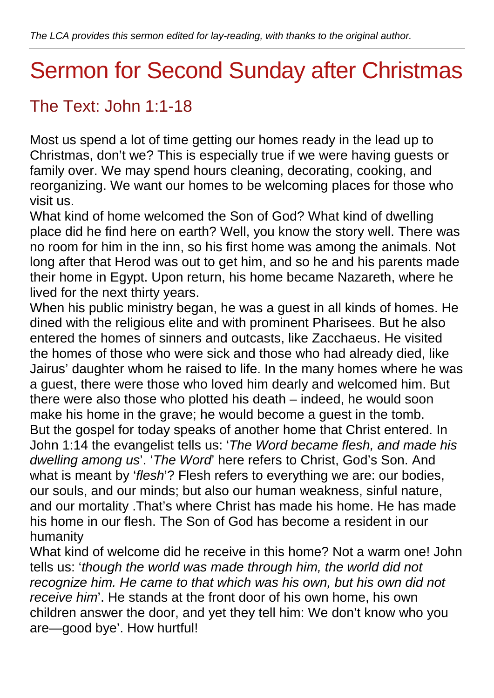## Sermon for Second Sunday after Christmas

## The Text: John 1:1-18

Most us spend a lot of time getting our homes ready in the lead up to Christmas, don't we? This is especially true if we were having guests or family over. We may spend hours cleaning, decorating, cooking, and reorganizing. We want our homes to be welcoming places for those who visit us.

What kind of home welcomed the Son of God? What kind of dwelling place did he find here on earth? Well, you know the story well. There was no room for him in the inn, so his first home was among the animals. Not long after that Herod was out to get him, and so he and his parents made their home in Egypt. Upon return, his home became Nazareth, where he lived for the next thirty years.

When his public ministry began, he was a guest in all kinds of homes. He dined with the religious elite and with prominent Pharisees. But he also entered the homes of sinners and outcasts, like Zacchaeus. He visited the homes of those who were sick and those who had already died, like Jairus' daughter whom he raised to life. In the many homes where he was a guest, there were those who loved him dearly and welcomed him. But there were also those who plotted his death – indeed, he would soon make his home in the grave; he would become a guest in the tomb. But the gospel for today speaks of another home that Christ entered. In John 1:14 the evangelist tells us: '*The Word became flesh, and made his dwelling among us*'. '*The Word*' here refers to Christ, God's Son. And what is meant by '*flesh*'? Flesh refers to everything we are: our bodies, our souls, and our minds; but also our human weakness, sinful nature, and our mortality .That's where Christ has made his home. He has made his home in our flesh. The Son of God has become a resident in our humanity

What kind of welcome did he receive in this home? Not a warm one! John tells us: '*though the world was made through him, the world did not recognize him. He came to that which was his own, but his own did not receive him*'. He stands at the front door of his own home, his own children answer the door, and yet they tell him: We don't know who you are—good bye'. How hurtful!